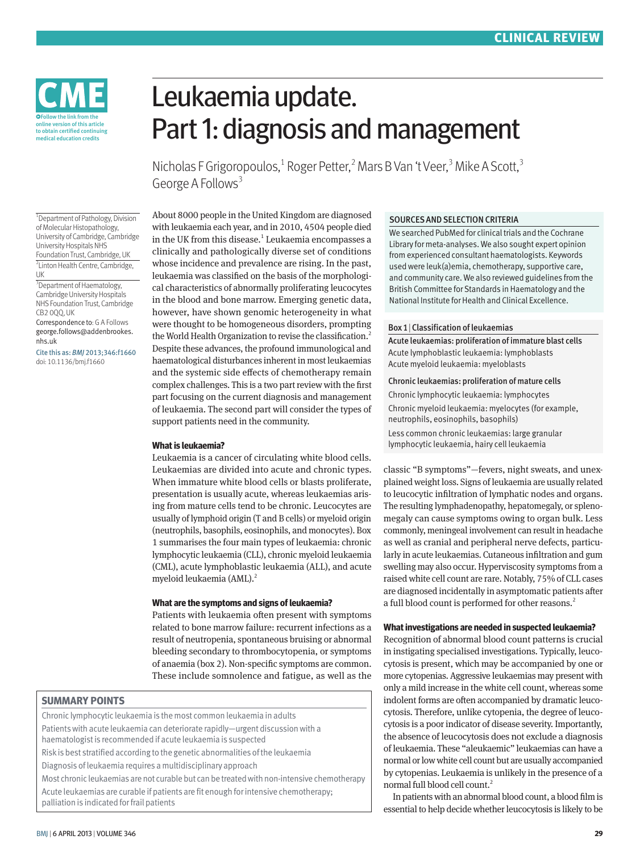

Leukaemia update. Part 1: diagnosis and management

Nicholas F Grigoropoulos,<sup>1</sup> Roger Petter,<sup>2</sup> Mars B Van 't Veer,<sup>3</sup> Mike A Scott,<sup>3</sup> George A Follows<sup>3</sup>

<sup>1</sup> Department of Pathology, Division of Molecular Histopathology, University of Cambridge, Cambridge University Hospitals NHS Foundation Trust, Cambridge, UK 2 Linton Health Centre, Cambridge, UK

<sup>3</sup> Department of Haematology, Cambridge University Hospitals NHS Foundation Trust, Cambridge CB2 0QQ, UK

Correspondence to: G A Follows george.follows@addenbrookes. nhs.uk

Cite this as: *BMJ* 2013;346:f1660 doi: 10.1136/bmj.f1660

About 8000 people in the United Kingdom are diagnosed with leukaemia each year, and in 2010, 4504 people died in the UK from this disease.<sup>1</sup> Leukaemia encompasses a clinically and pathologically diverse set of conditions whose incidence and prevalence are rising. In the past, leukaemia was classified on the basis of the morphological characteristics of abnormally proliferating leucocytes in the blood and bone marrow. Emerging genetic data, however, have shown genomic heterogeneity in what were thought to be homogeneous disorders, prompting the World Health Organization to revise the classification.<sup>2</sup> Despite these advances, the profound immunological and haematological disturbances inherent in most leukaemias and the systemic side effects of chemotherapy remain complex challenges. This is a two part review with the first part focusing on the current diagnosis and management of leukaemia. The second part will consider the types of support patients need in the community.

## **What is leukaemia?**

Leukaemia is a cancer of circulating white blood cells. Leukaemias are divided into acute and chronic types. When immature white blood cells or blasts proliferate, presentation is usually acute, whereas leukaemias arising from mature cells tend to be chronic. Leucocytes are usually of lymphoid origin (T and B cells) or myeloid origin (neutrophils, basophils, eosinophils, and monocytes). Box 1 summarises the four main types of leukaemia: chronic lymphocytic leukaemia (CLL), chronic myeloid leukaemia (CML), acute lymphoblastic leukaemia (ALL), and acute myeloid leukaemia (AML).<sup>2</sup>

# **What are the symptoms and signs of leukaemia?**

Patients with leukaemia often present with symptoms related to bone marrow failure: recurrent infections as a result of neutropenia, spontaneous bruising or abnormal bleeding secondary to thrombocytopenia, or symptoms of anaemia (box 2). Non-specific symptoms are common. These include somnolence and fatigue, as well as the

# **SUMMARY POINTS**

Chronic lymphocytic leukaemia is the most common leukaemia in adults Patients with acute leukaemia can deteriorate rapidly—urgent discussion with a haematologist is recommended if acute leukaemia is suspected

Risk is best stratified according to the genetic abnormalities of the leukaemia

Diagnosis of leukaemia requires a multidisciplinary approach

Most chronic leukaemias are not curable but can be treated with non-intensive chemotherapy Acute leukaemias are curable if patients are fit enough for intensive chemotherapy; palliation is indicated for frail patients

# SOURCES AND SELECTION CRITERIA

We searched PubMed for clinical trials and the Cochrane Library for meta-analyses. We also sought expert opinion from experienced consultant haematologists. Keywords used were leuk(a)emia, chemotherapy, supportive care, and community care. We also reviewed guidelines from the British Committee for Standards in Haematology and the National Institute for Health and Clinical Excellence.

### Box 1|Classification of leukaemias

Acute leukaemias: proliferation of immature blast cells Acute lymphoblastic leukaemia: lymphoblasts Acute myeloid leukaemia: myeloblasts

### Chronic leukaemias: proliferation of mature cells

Chronic lymphocytic leukaemia: lymphocytes Chronic myeloid leukaemia: myelocytes (for example, neutrophils, eosinophils, basophils) Less common chronic leukaemias: large granular lymphocytic leukaemia, hairy cell leukaemia

classic "B symptoms"—fevers, night sweats, and unexplained weight loss. Signs of leukaemia are usually related to leucocytic infiltration of lymphatic nodes and organs. The resulting lymphadenopathy, hepatomegaly, or splenomegaly can cause symptoms owing to organ bulk. Less commonly, meningeal involvement can result in headache as well as cranial and peripheral nerve defects, particularly in acute leukaemias. Cutaneous infiltration and gum swelling may also occur. Hyperviscosity symptoms from a raised white cell count are rare. Notably, 75% of CLL cases are diagnosed incidentally in asymptomatic patients after a full blood count is performed for other reasons.<sup>2</sup>

# **What investigations are needed in suspected leukaemia?**

Recognition of abnormal blood count patterns is crucial in instigating specialised investigations. Typically, leucocytosis is present, which may be accompanied by one or more cytopenias. Aggressive leukaemias may present with only a mild increase in the white cell count, whereas some indolent forms are often accompanied by dramatic leucocytosis. Therefore, unlike cytopenia, the degree of leucocytosis is a poor indicator of disease severity. Importantly, the absence of leucocytosis does not exclude a diagnosis of leukaemia. These "aleukaemic" leukaemias can have a normal or low white cell count but are usually accompanied by cytopenias. Leukaemia is unlikely in the presence of a normal full blood cell count.2

In patients with an abnormal blood count, a blood film is essential to help decide whether leucocytosis is likely to be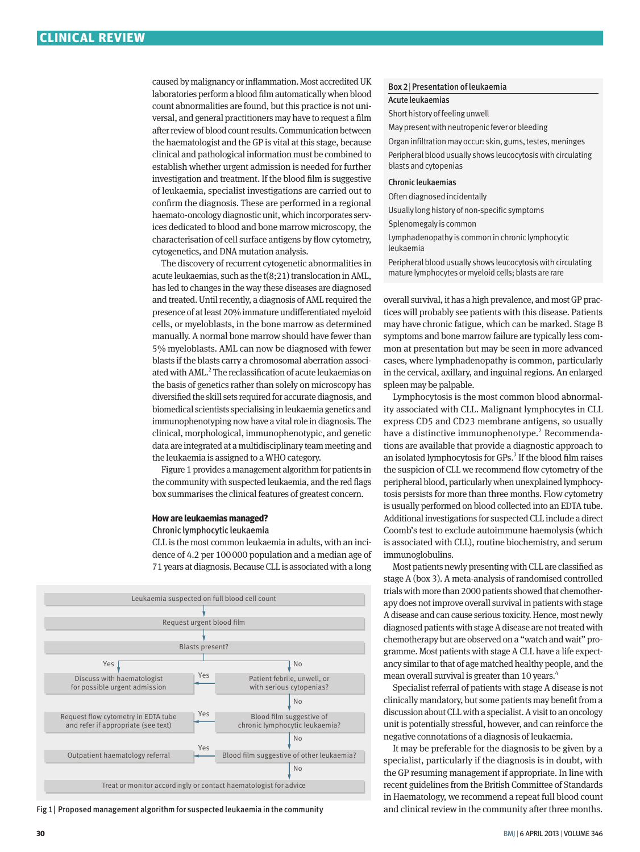caused by malignancy or inflammation. Most accredited UK laboratories perform a blood film automatically when blood count abnormalities are found, but this practice is not universal, and general practitioners may have to request a film after review of blood count results. Communication between the haematologist and the GP is vital at this stage, because clinical and pathological information must be combined to establish whether urgent admission is needed for further investigation and treatment. If the blood film is suggestive of leukaemia, specialist investigations are carried out to confirm the diagnosis. These are performed in a regional haemato-oncology diagnostic unit, which incorporates services dedicated to blood and bone marrow microscopy, the characterisation of cell surface antigens by flow cytometry, cytogenetics, and DNA mutation analysis.

The discovery of recurrent cytogenetic abnormalities in acute leukaemias, such as the t(8;21) translocation in AML, has led to changes in the way these diseases are diagnosed and treated. Until recently, a diagnosis of AML required the presence of at least 20% immature undifferentiated myeloid cells, or myeloblasts, in the bone marrow as determined manually. A normal bone marrow should have fewer than 5% myeloblasts. AML can now be diagnosed with fewer blasts if the blasts carry a chromosomal aberration associated with AML.<sup>2</sup> The reclassification of acute leukaemias on the basis of genetics rather than solely on microscopy has diversified the skill sets required for accurate diagnosis, and biomedical scientists specialising in leukaemia genetics and immunophenotyping now have a vital role in diagnosis. The clinical, morphological, immunophenotypic, and genetic data are integrated at a multidisciplinary team meeting and the leukaemia is assigned to a WHO category.

Figure 1 provides a management algorithm for patients in the community with suspected leukaemia, and the red flags box summarises the clinical features of greatest concern.

# **How are leukaemias managed?**

### Chronic lymphocytic leukaemia

CLL is the most common leukaemia in adults, with an incidence of 4.2 per 100000 population and a median age of 71 years at diagnosis. Because CLL is associated with a long



Fig 1| Proposed management algorithm for suspected leukaemia in the community

### Box 2|Presentation of leukaemia

#### Acute leukaemias

Short history of feeling unwell

May present with neutropenic fever or bleeding

Organ infiltration may occur: skin, gums, testes, meninges Peripheral blood usually shows leucocytosis with circulating blasts and cytopenias

### Chronic leukaemias

Often diagnosed incidentally

Usually long history of non-specific symptoms

Splenomegaly is common

Lymphadenopathy is common in chronic lymphocytic leukaemia

Peripheral blood usually shows leucocytosis with circulating mature lymphocytes or myeloid cells; blasts are rare

overall survival, it has a high prevalence, and most GP practices will probably see patients with this disease. Patients may have chronic fatigue, which can be marked. Stage B symptoms and bone marrow failure are typically less common at presentation but may be seen in more advanced cases, where lymphadenopathy is common, particularly in the cervical, axillary, and inguinal regions. An enlarged spleen may be palpable.

Lymphocytosis is the most common blood abnormality associated with CLL. Malignant lymphocytes in CLL express CD5 and CD23 membrane antigens, so usually have a distinctive immunophenotype.<sup>2</sup> Recommendations are available that provide a diagnostic approach to an isolated lymphocytosis for GPs.<sup>3</sup> If the blood film raises the suspicion of CLL we recommend flow cytometry of the peripheral blood, particularly when unexplained lymphocytosis persists for more than three months. Flow cytometry is usually performed on blood collected into an EDTA tube. Additional investigations for suspected CLL include a direct Coomb's test to exclude autoimmune haemolysis (which is associated with CLL), routine biochemistry, and serum immunoglobulins.

Most patients newly presenting with CLL are classified as stage A (box 3). A meta-analysis of randomised controlled trials with more than 2000 patients showed that chemotherapy does not improve overall survival in patients with stage A disease and can cause serious toxicity. Hence, most newly diagnosed patients with stage A disease are not treated with chemotherapy but are observed on a "watch and wait" programme. Most patients with stage A CLL have a life expectancy similar to that of age matched healthy people, and the mean overall survival is greater than 10 years.<sup>4</sup>

Specialist referral of patients with stage A disease is not clinically mandatory, but some patients may benefit from a discussion about CLL with a specialist. A visit to an oncology unit is potentially stressful, however, and can reinforce the negative connotations of a diagnosis of leukaemia.

It may be preferable for the diagnosis to be given by a specialist, particularly if the diagnosis is in doubt, with the GP resuming management if appropriate. In line with recent guidelines from the British Committee of Standards in Haematology, we recommend a repeat full blood count and clinical review in the community after three months.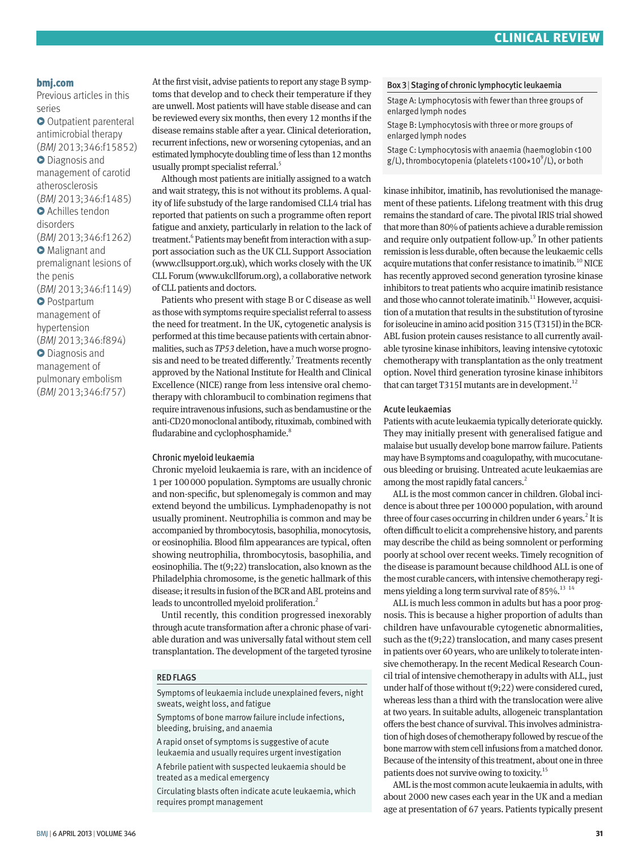# **bmj.com**

Previous articles in this series

**O** Outpatient parenteral antimicrobial therapy (BMJ 2013;346:f15852)  $\bullet$  Diagnosis and management of carotid atherosclerosis (BMJ 2013;346:f1485) **O** Achilles tendon disorders (BMJ 2013;346:f1262) **• Malignant and** premalignant lesions of the penis (BMJ 2013;346:f1149) **O** Postpartum management of hypertension (BMJ 2013;346:f894)

 $\bullet$  Diagnosis and management of pulmonary embolism (BMJ 2013;346:f757) At the first visit, advise patients to report any stage B symptoms that develop and to check their temperature if they are unwell. Most patients will have stable disease and can be reviewed every six months, then every 12 months if the disease remains stable after a year. Clinical deterioration, recurrent infections, new or worsening cytopenias, and an estimated lymphocyte doubling time of less than 12 months usually prompt specialist referral.<sup>5</sup>

Although most patients are initially assigned to a watch and wait strategy, this is not without its problems. A quality of life substudy of the large randomised CLL4 trial has reported that patients on such a programme often report fatigue and anxiety, particularly in relation to the lack of treatment.<sup>6</sup> Patients may benefit from interaction with a support association such as the UK CLL Support Association (www.cllsupport.org.uk), which works closely with the UK CLL Forum (www.ukcllforum.org), a collaborative network of CLL patients and doctors.

Patients who present with stage B or C disease as well as those with symptoms require specialist referral to assess the need for treatment. In the UK, cytogenetic analysis is performed at this time because patients with certain abnormalities, such as *TP53* deletion, have a much worse prognosis and need to be treated differently.<sup>7</sup> Treatments recently approved by the National Institute for Health and Clinical Excellence (NICE) range from less intensive oral chemotherapy with chlorambucil to combination regimens that require intravenous infusions, such as bendamustine or the anti-CD20 monoclonal antibody, rituximab, combined with fludarabine and cyclophosphamide.<sup>8</sup>

# Chronic myeloid leukaemia

Chronic myeloid leukaemia is rare, with an incidence of 1 per 100000 population. Symptoms are usually chronic and non-specific, but splenomegaly is common and may extend beyond the umbilicus. Lymphadenopathy is not usually prominent. Neutrophilia is common and may be accompanied by thrombocytosis, basophilia, monocytosis, or eosinophilia. Blood film appearances are typical, often showing neutrophilia, thrombocytosis, basophilia, and eosinophilia. The t(9;22) translocation, also known as the Philadelphia chromosome, is the genetic hallmark of this disease; it results in fusion of the BCR and ABL proteins and leads to uncontrolled myeloid proliferation.<sup>2</sup>

Until recently, this condition progressed inexorably through acute transformation after a chronic phase of variable duration and was universally fatal without stem cell transplantation. The development of the targeted tyrosine

### RED FLAGS

Symptoms of leukaemia include unexplained fevers, night sweats, weight loss, and fatigue

Symptoms of bone marrow failure include infections, bleeding, bruising, and anaemia

A rapid onset of symptoms is suggestive of acute leukaemia and usually requires urgent investigation A febrile patient with suspected leukaemia should be

treated as a medical emergency

Circulating blasts often indicate acute leukaemia, which requires prompt management

## Box 3|Staging of chronic lymphocytic leukaemia

Stage A: Lymphocytosis with fewer than three groups of enlarged lymph nodes

Stage B: Lymphocytosis with three or more groups of enlarged lymph nodes

Stage C: Lymphocytosis with anaemia (haemoglobin <100 g/L), thrombocytopenia (platelets <100×10<sup>9</sup>/L), or both

kinase inhibitor, imatinib, has revolutionised the management of these patients. Lifelong treatment with this drug remains the standard of care. The pivotal IRIS trial showed that more than 80% of patients achieve a durable remission and require only outpatient follow-up.<sup>9</sup> In other patients remission is less durable, often because the leukaemic cells acquire mutations that confer resistance to imatinib.<sup>10</sup> NICE has recently approved second generation tyrosine kinase inhibitors to treat patients who acquire imatinib resistance and those who cannot tolerate imatinib.<sup>11</sup> However, acquisition of a mutation that results in the substitution of tyrosine for isoleucine in amino acid position 315 (T315I) in the BCR-ABL fusion protein causes resistance to all currently available tyrosine kinase inhibitors, leaving intensive cytotoxic chemotherapy with transplantation as the only treatment option. Novel third generation tyrosine kinase inhibitors that can target T315I mutants are in development.<sup>12</sup>

# Acute leukaemias

Patients with acute leukaemia typically deteriorate quickly. They may initially present with generalised fatigue and malaise but usually develop bone marrow failure. Patients may have B symptoms and coagulopathy, with mucocutaneous bleeding or bruising. Untreated acute leukaemias are among the most rapidly fatal cancers.<sup>2</sup>

ALL is the most common cancer in children. Global incidence is about three per 100000 population, with around three of four cases occurring in children under 6 years.<sup>2</sup> It is often difficult to elicit a comprehensive history, and parents may describe the child as being somnolent or performing poorly at school over recent weeks. Timely recognition of the disease is paramount because childhood ALL is one of the most curable cancers, with intensive chemotherapy regimens yielding a long term survival rate of 85%.<sup>13 14</sup>

ALL is much less common in adults but has a poor prognosis. This is because a higher proportion of adults than children have unfavourable cytogenetic abnormalities, such as the t(9;22) translocation, and many cases present in patients over 60 years, who are unlikely to tolerate intensive chemotherapy. In the recent Medical Research Council trial of intensive chemotherapy in adults with ALL, just under half of those without t(9;22) were considered cured, whereas less than a third with the translocation were alive at two years. In suitable adults, allogeneic transplantation offers the best chance of survival. This involves administration of high doses of chemotherapy followed by rescue of the bone marrow with stem cell infusions from a matched donor. Because of the intensity of this treatment, about one in three patients does not survive owing to toxicity.15

AML is the most common acute leukaemia in adults, with about 2000 new cases each year in the UK and a median age at presentation of 67 years. Patients typically present